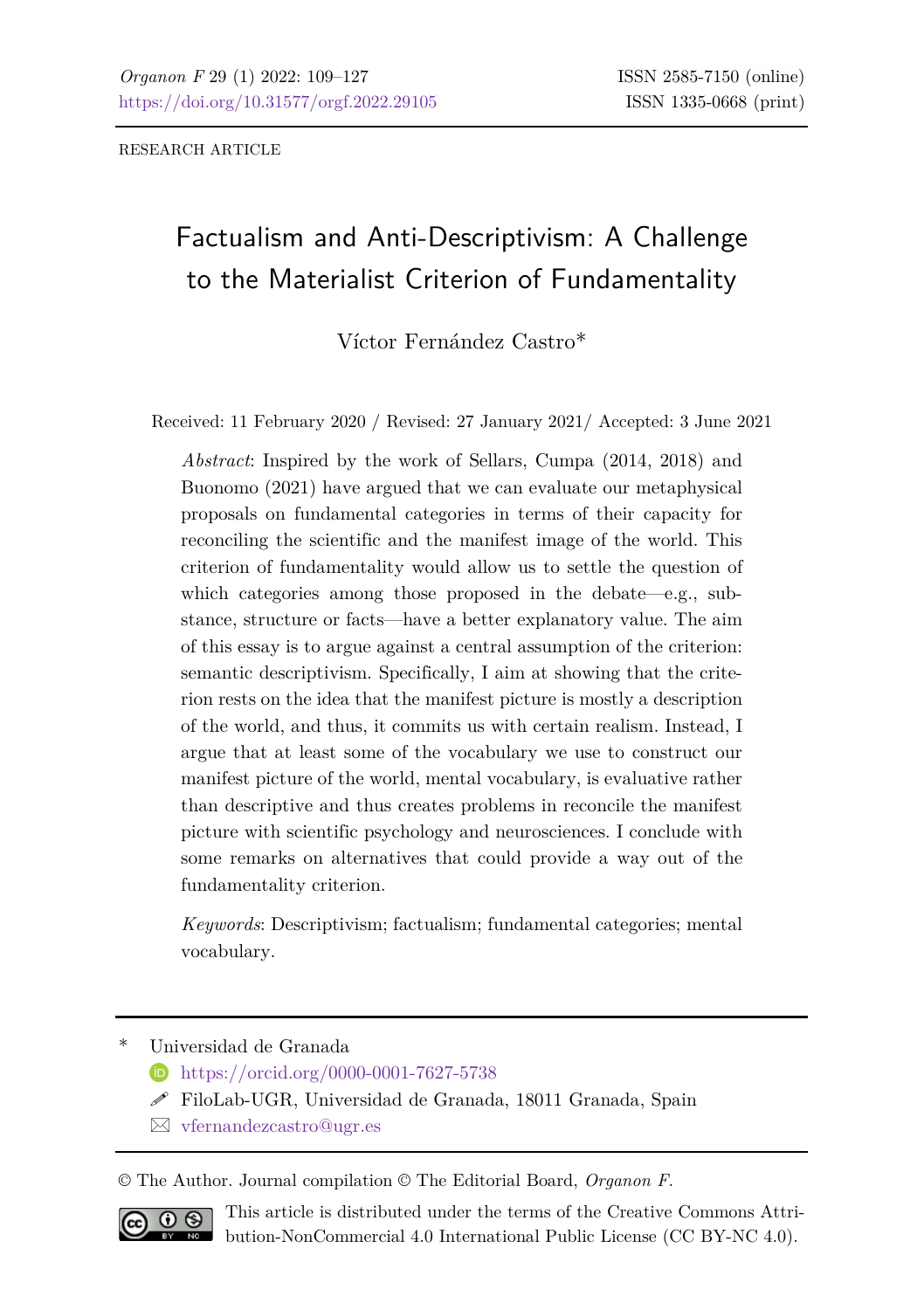RESEARCH ARTICLE

# Factualism and Anti-Descriptivism: A Challenge to the Materialist Criterion of Fundamentality

Víctor Fernández Castro\*

Received: 11 February 2020 / Revised: 27 January 2021/ Accepted: 3 June 2021

*Abstract*: Inspired by the work of Sellars, Cumpa (2014, 2018) and Buonomo (2021) have argued that we can evaluate our metaphysical proposals on fundamental categories in terms of their capacity for reconciling the scientific and the manifest image of the world. This criterion of fundamentality would allow us to settle the question of which categories among those proposed in the debate—e.g., substance, structure or facts—have a better explanatory value. The aim of this essay is to argue against a central assumption of the criterion: semantic descriptivism. Specifically, I aim at showing that the criterion rests on the idea that the manifest picture is mostly a description of the world, and thus, it commits us with certain realism. Instead, I argue that at least some of the vocabulary we use to construct our manifest picture of the world, mental vocabulary, is evaluative rather than descriptive and thus creates problems in reconcile the manifest picture with scientific psychology and neurosciences. I conclude with some remarks on alternatives that could provide a way out of the fundamentality criterion.

*Keywords*: Descriptivism; factualism; fundamental categories; mental vocabulary.

\* Universidad de Granada

- <https://orcid.org/0000-0001-7627-5738>
- $\mathscr S$  FiloLab-UGR, Universidad de Granada, 18011 Granada, Spain
- [vfernandezcastro@ugr.es](mailto:vfernandezcastro@ugr.es)

© The Author. Journal compilation © The Editorial Board, *Organon F*.



This article is distributed under the terms of the Creative Commons Attribution-NonCommercial 4.0 International Public License (CC BY-NC 4.0).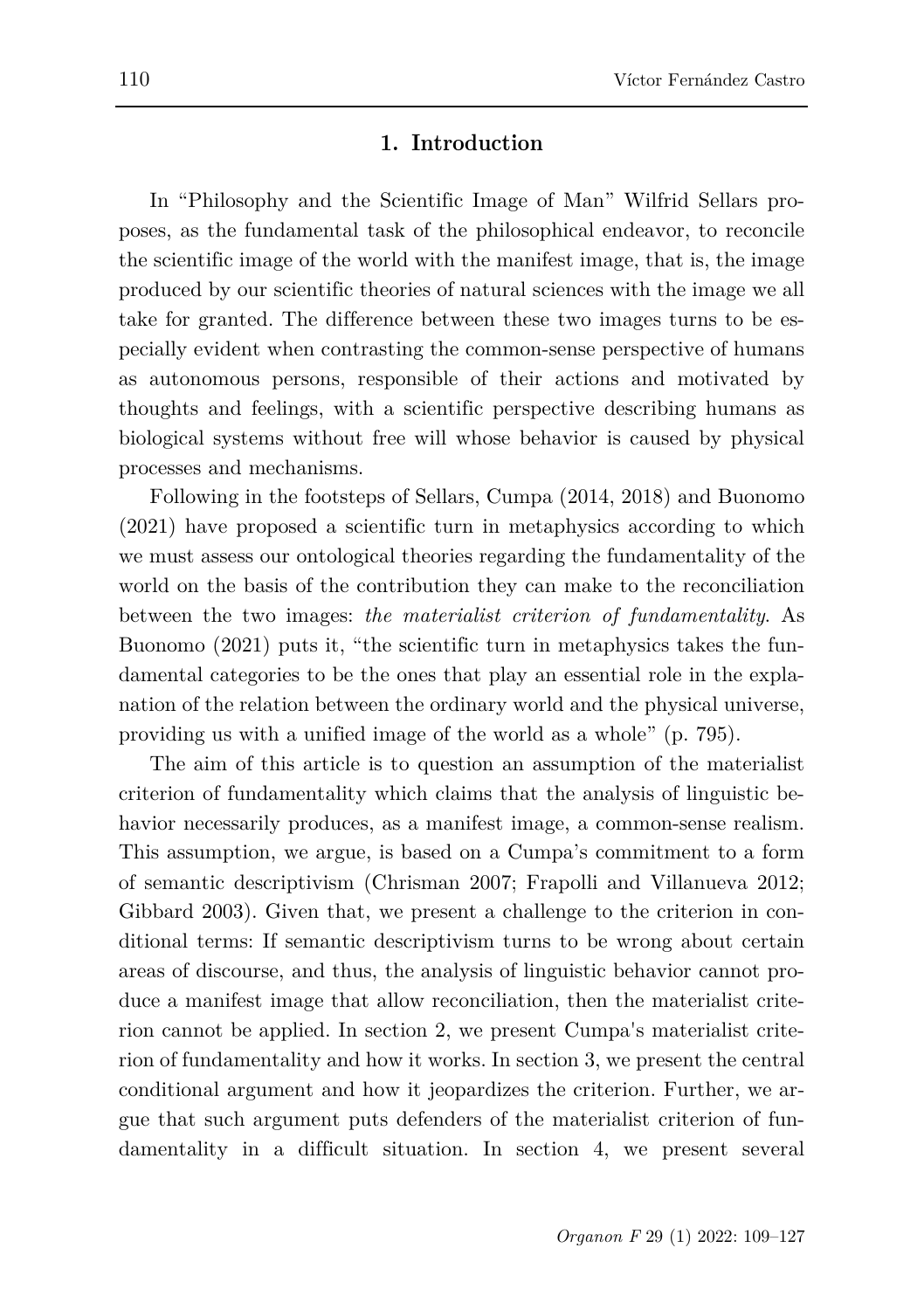## **1. Introduction**

In "Philosophy and the Scientific Image of Man" Wilfrid Sellars proposes, as the fundamental task of the philosophical endeavor, to reconcile the scientific image of the world with the manifest image, that is, the image produced by our scientific theories of natural sciences with the image we all take for granted. The difference between these two images turns to be especially evident when contrasting the common-sense perspective of humans as autonomous persons, responsible of their actions and motivated by thoughts and feelings, with a scientific perspective describing humans as biological systems without free will whose behavior is caused by physical processes and mechanisms.

Following in the footsteps of Sellars, Cumpa (2014, 2018) and Buonomo (2021) have proposed a scientific turn in metaphysics according to which we must assess our ontological theories regarding the fundamentality of the world on the basis of the contribution they can make to the reconciliation between the two images: *the materialist criterion of fundamentality*. As Buonomo (2021) puts it, "the scientific turn in metaphysics takes the fundamental categories to be the ones that play an essential role in the explanation of the relation between the ordinary world and the physical universe, providing us with a unified image of the world as a whole" (p. 795).

The aim of this article is to question an assumption of the materialist criterion of fundamentality which claims that the analysis of linguistic behavior necessarily produces, as a manifest image, a common-sense realism. This assumption, we argue, is based on a Cumpa's commitment to a form of semantic descriptivism (Chrisman 2007; Frapolli and Villanueva 2012; Gibbard 2003). Given that, we present a challenge to the criterion in conditional terms: If semantic descriptivism turns to be wrong about certain areas of discourse, and thus, the analysis of linguistic behavior cannot produce a manifest image that allow reconciliation, then the materialist criterion cannot be applied. In section 2, we present Cumpa's materialist criterion of fundamentality and how it works. In section 3, we present the central conditional argument and how it jeopardizes the criterion. Further, we argue that such argument puts defenders of the materialist criterion of fundamentality in a difficult situation. In section 4, we present several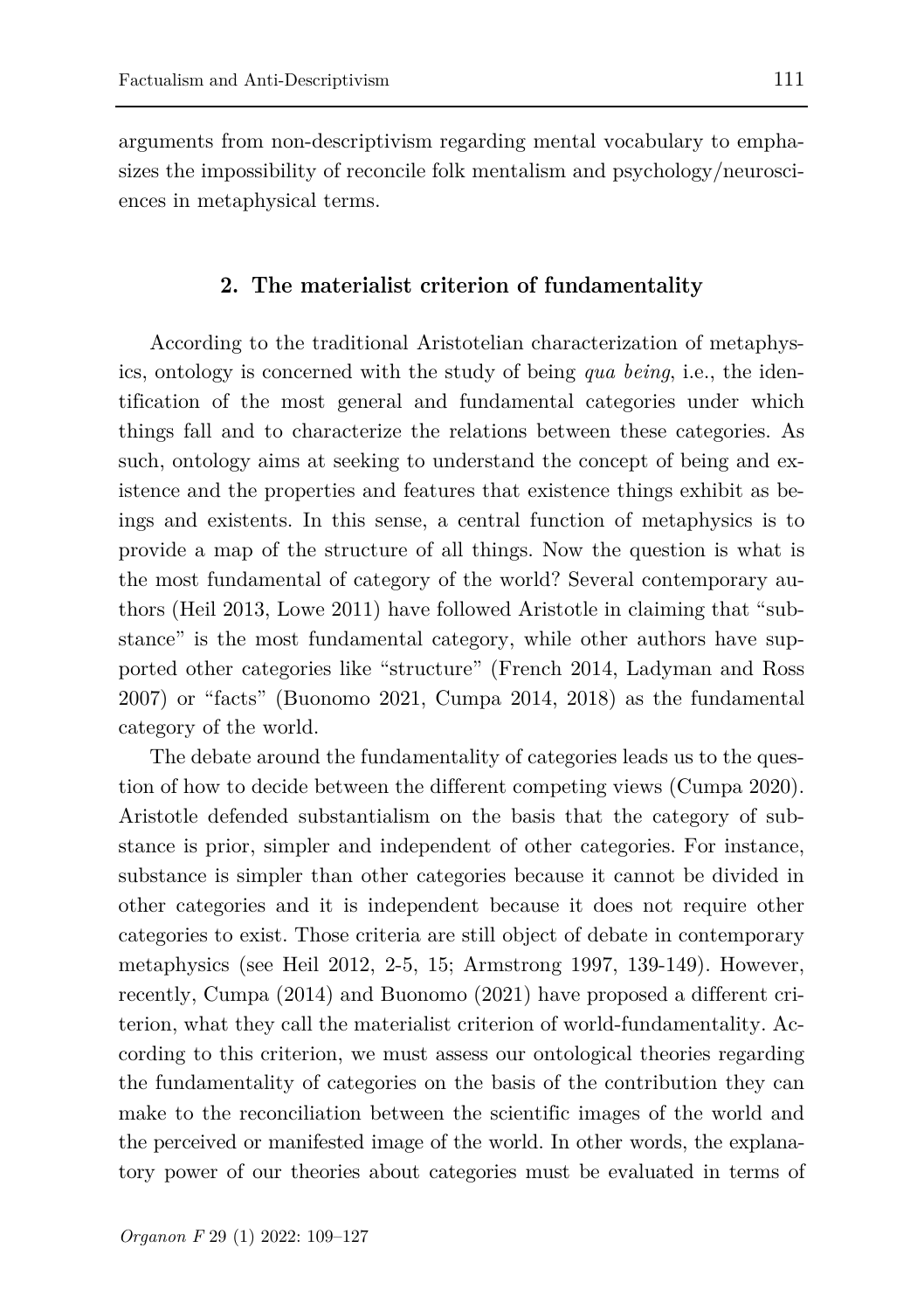arguments from non-descriptivism regarding mental vocabulary to emphasizes the impossibility of reconcile folk mentalism and psychology/neurosciences in metaphysical terms.

## **2. The materialist criterion of fundamentality**

According to the traditional Aristotelian characterization of metaphysics, ontology is concerned with the study of being *qua being*, i.e., the identification of the most general and fundamental categories under which things fall and to characterize the relations between these categories. As such, ontology aims at seeking to understand the concept of being and existence and the properties and features that existence things exhibit as beings and existents. In this sense, a central function of metaphysics is to provide a map of the structure of all things. Now the question is what is the most fundamental of category of the world? Several contemporary authors (Heil 2013, Lowe 2011) have followed Aristotle in claiming that "substance" is the most fundamental category, while other authors have supported other categories like "structure" (French 2014, Ladyman and Ross 2007) or "facts" (Buonomo 2021, Cumpa 2014, 2018) as the fundamental category of the world.

The debate around the fundamentality of categories leads us to the question of how to decide between the different competing views (Cumpa 2020). Aristotle defended substantialism on the basis that the category of substance is prior, simpler and independent of other categories. For instance, substance is simpler than other categories because it cannot be divided in other categories and it is independent because it does not require other categories to exist. Those criteria are still object of debate in contemporary metaphysics (see Heil 2012, 2-5, 15; Armstrong 1997, 139-149). However, recently, Cumpa (2014) and Buonomo (2021) have proposed a different criterion, what they call the materialist criterion of world-fundamentality. According to this criterion, we must assess our ontological theories regarding the fundamentality of categories on the basis of the contribution they can make to the reconciliation between the scientific images of the world and the perceived or manifested image of the world. In other words, the explanatory power of our theories about categories must be evaluated in terms of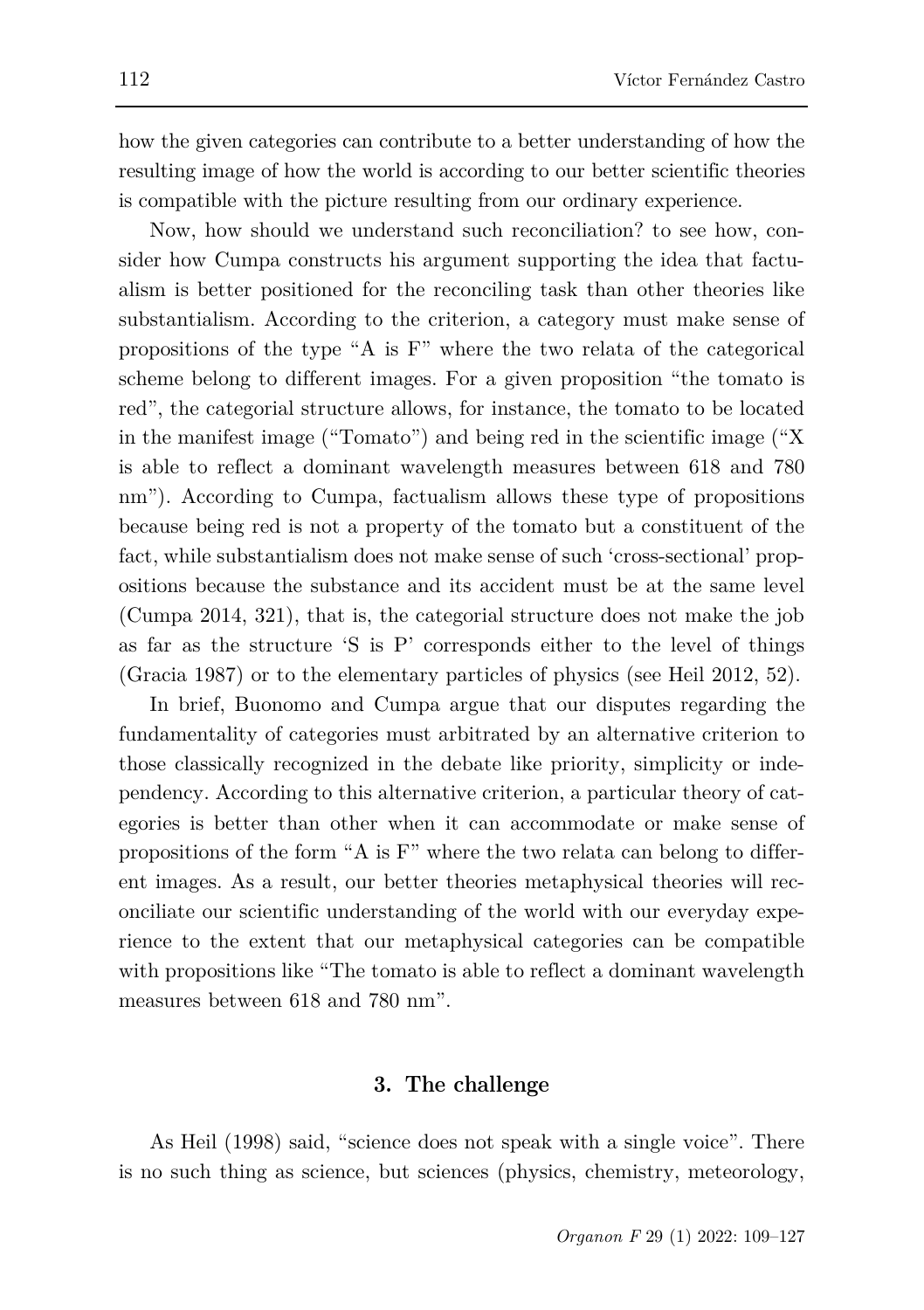how the given categories can contribute to a better understanding of how the resulting image of how the world is according to our better scientific theories is compatible with the picture resulting from our ordinary experience.

Now, how should we understand such reconciliation? to see how, consider how Cumpa constructs his argument supporting the idea that factualism is better positioned for the reconciling task than other theories like substantialism. According to the criterion, a category must make sense of propositions of the type "A is F" where the two relata of the categorical scheme belong to different images. For a given proposition "the tomato is red", the categorial structure allows, for instance, the tomato to be located in the manifest image ("Tomato") and being red in the scientific image ("X is able to reflect a dominant wavelength measures between 618 and 780 nm"). According to Cumpa, factualism allows these type of propositions because being red is not a property of the tomato but a constituent of the fact, while substantialism does not make sense of such 'cross-sectional' propositions because the substance and its accident must be at the same level (Cumpa 2014, 321), that is, the categorial structure does not make the job as far as the structure 'S is P' corresponds either to the level of things (Gracia 1987) or to the elementary particles of physics (see Heil 2012, 52).

In brief, Buonomo and Cumpa argue that our disputes regarding the fundamentality of categories must arbitrated by an alternative criterion to those classically recognized in the debate like priority, simplicity or independency. According to this alternative criterion, a particular theory of categories is better than other when it can accommodate or make sense of propositions of the form "A is F" where the two relata can belong to different images. As a result, our better theories metaphysical theories will reconciliate our scientific understanding of the world with our everyday experience to the extent that our metaphysical categories can be compatible with propositions like "The tomato is able to reflect a dominant wavelength measures between 618 and 780 nm".

### **3. The challenge**

As Heil (1998) said, "science does not speak with a single voice". There is no such thing as science, but sciences (physics, chemistry, meteorology,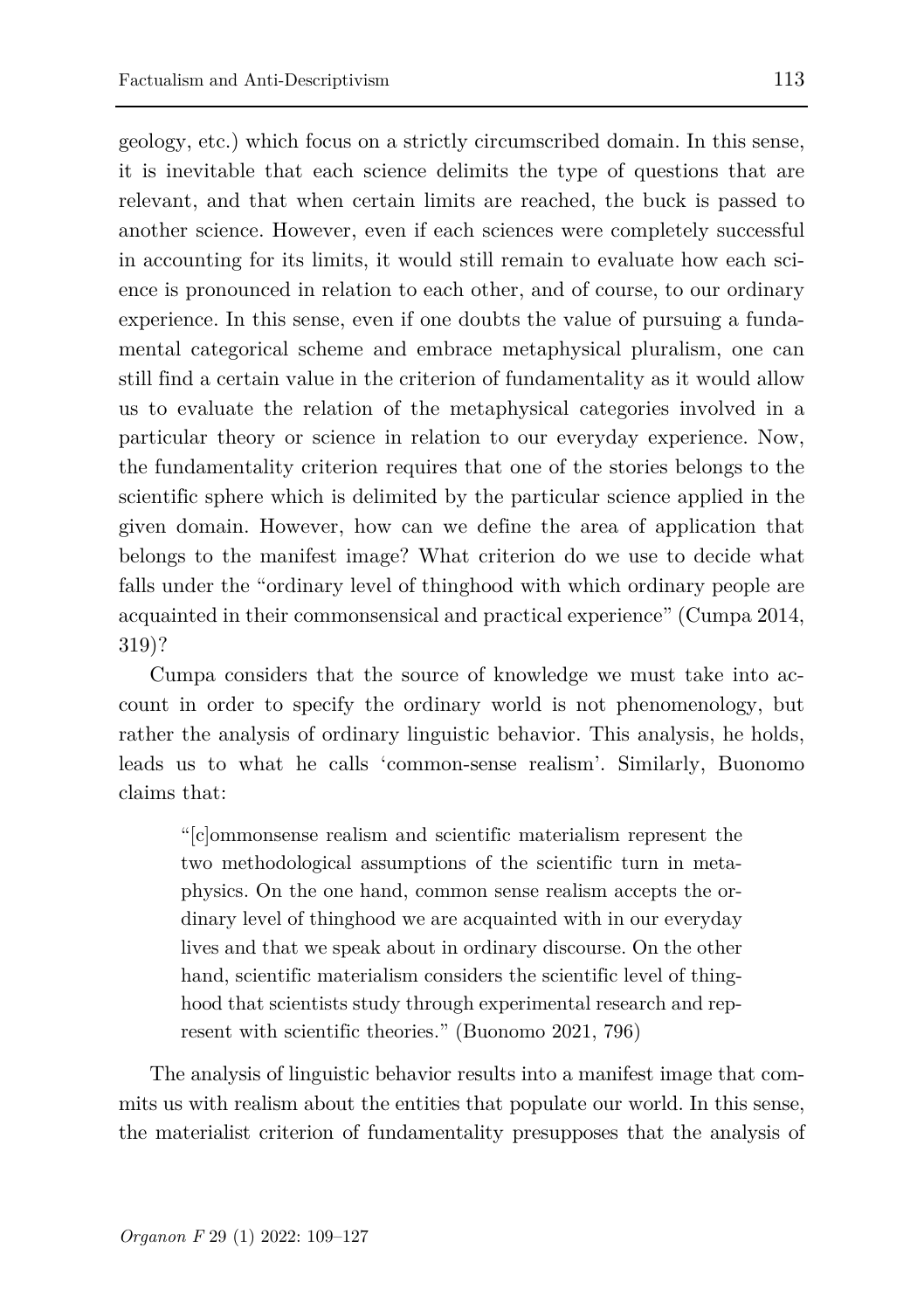geology, etc.) which focus on a strictly circumscribed domain. In this sense, it is inevitable that each science delimits the type of questions that are relevant, and that when certain limits are reached, the buck is passed to another science. However, even if each sciences were completely successful in accounting for its limits, it would still remain to evaluate how each science is pronounced in relation to each other, and of course, to our ordinary experience. In this sense, even if one doubts the value of pursuing a fundamental categorical scheme and embrace metaphysical pluralism, one can still find a certain value in the criterion of fundamentality as it would allow us to evaluate the relation of the metaphysical categories involved in a particular theory or science in relation to our everyday experience. Now, the fundamentality criterion requires that one of the stories belongs to the scientific sphere which is delimited by the particular science applied in the given domain. However, how can we define the area of application that belongs to the manifest image? What criterion do we use to decide what falls under the "ordinary level of thinghood with which ordinary people are acquainted in their commonsensical and practical experience" (Cumpa 2014, 319)?

Cumpa considers that the source of knowledge we must take into account in order to specify the ordinary world is not phenomenology, but rather the analysis of ordinary linguistic behavior. This analysis, he holds, leads us to what he calls 'common-sense realism'. Similarly, Buonomo claims that:

"[c]ommonsense realism and scientific materialism represent the two methodological assumptions of the scientific turn in metaphysics. On the one hand, common sense realism accepts the ordinary level of thinghood we are acquainted with in our everyday lives and that we speak about in ordinary discourse. On the other hand, scientific materialism considers the scientific level of thinghood that scientists study through experimental research and represent with scientific theories." (Buonomo 2021, 796)

The analysis of linguistic behavior results into a manifest image that commits us with realism about the entities that populate our world. In this sense, the materialist criterion of fundamentality presupposes that the analysis of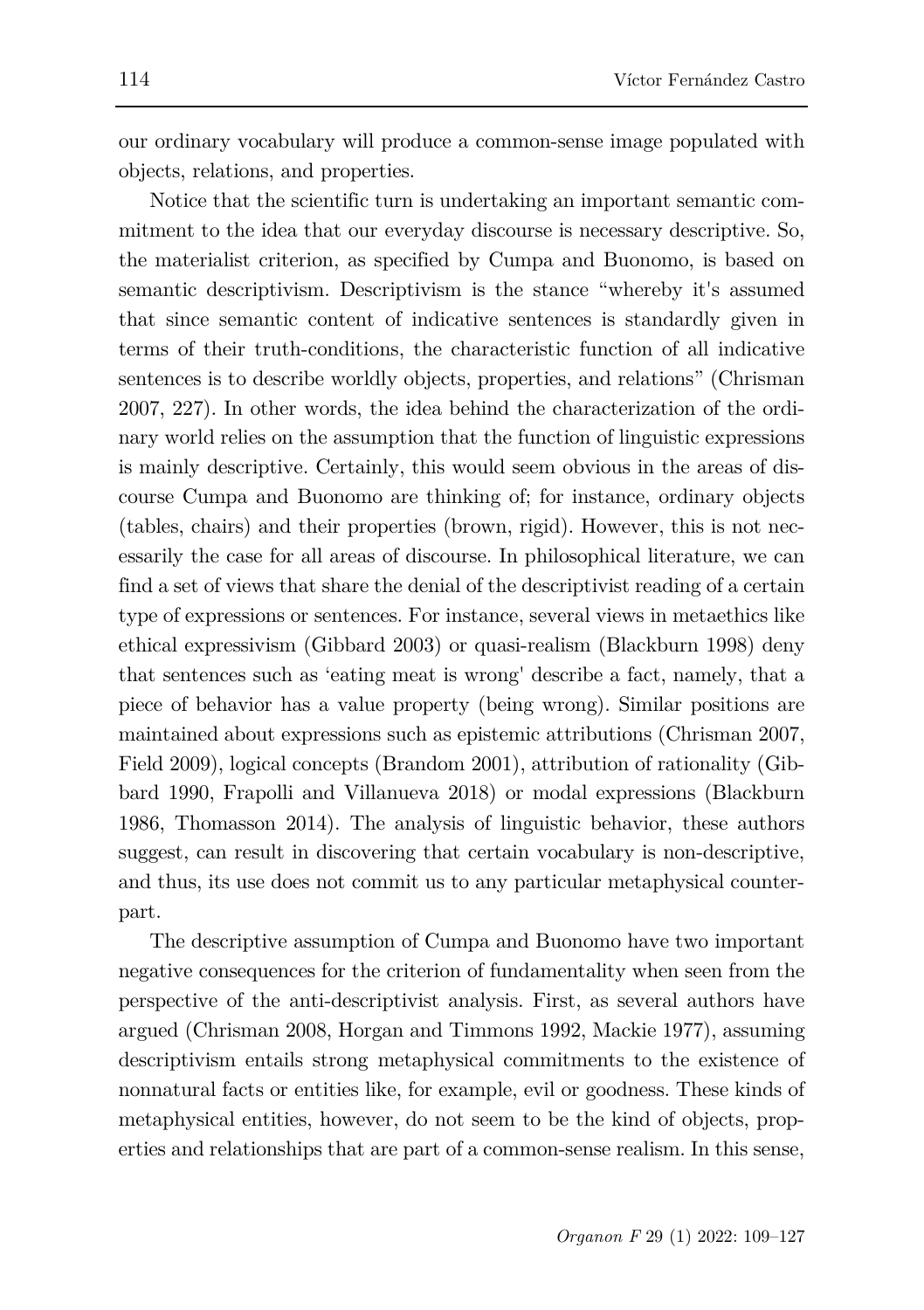our ordinary vocabulary will produce a common-sense image populated with objects, relations, and properties.

Notice that the scientific turn is undertaking an important semantic commitment to the idea that our everyday discourse is necessary descriptive. So, the materialist criterion, as specified by Cumpa and Buonomo, is based on semantic descriptivism. Descriptivism is the stance "whereby it's assumed that since semantic content of indicative sentences is standardly given in terms of their truth-conditions, the characteristic function of all indicative sentences is to describe worldly objects, properties, and relations" (Chrisman 2007, 227). In other words, the idea behind the characterization of the ordinary world relies on the assumption that the function of linguistic expressions is mainly descriptive. Certainly, this would seem obvious in the areas of discourse Cumpa and Buonomo are thinking of; for instance, ordinary objects (tables, chairs) and their properties (brown, rigid). However, this is not necessarily the case for all areas of discourse. In philosophical literature, we can find a set of views that share the denial of the descriptivist reading of a certain type of expressions or sentences. For instance, several views in metaethics like ethical expressivism (Gibbard 2003) or quasi-realism (Blackburn 1998) deny that sentences such as 'eating meat is wrong' describe a fact, namely, that a piece of behavior has a value property (being wrong). Similar positions are maintained about expressions such as epistemic attributions (Chrisman 2007, Field 2009), logical concepts (Brandom 2001), attribution of rationality (Gibbard 1990, Frapolli and Villanueva 2018) or modal expressions (Blackburn 1986, Thomasson 2014). The analysis of linguistic behavior, these authors suggest, can result in discovering that certain vocabulary is non-descriptive, and thus, its use does not commit us to any particular metaphysical counterpart.

The descriptive assumption of Cumpa and Buonomo have two important negative consequences for the criterion of fundamentality when seen from the perspective of the anti-descriptivist analysis. First, as several authors have argued (Chrisman 2008, Horgan and Timmons 1992, Mackie 1977), assuming descriptivism entails strong metaphysical commitments to the existence of nonnatural facts or entities like, for example, evil or goodness. These kinds of metaphysical entities, however, do not seem to be the kind of objects, properties and relationships that are part of a common-sense realism. In this sense,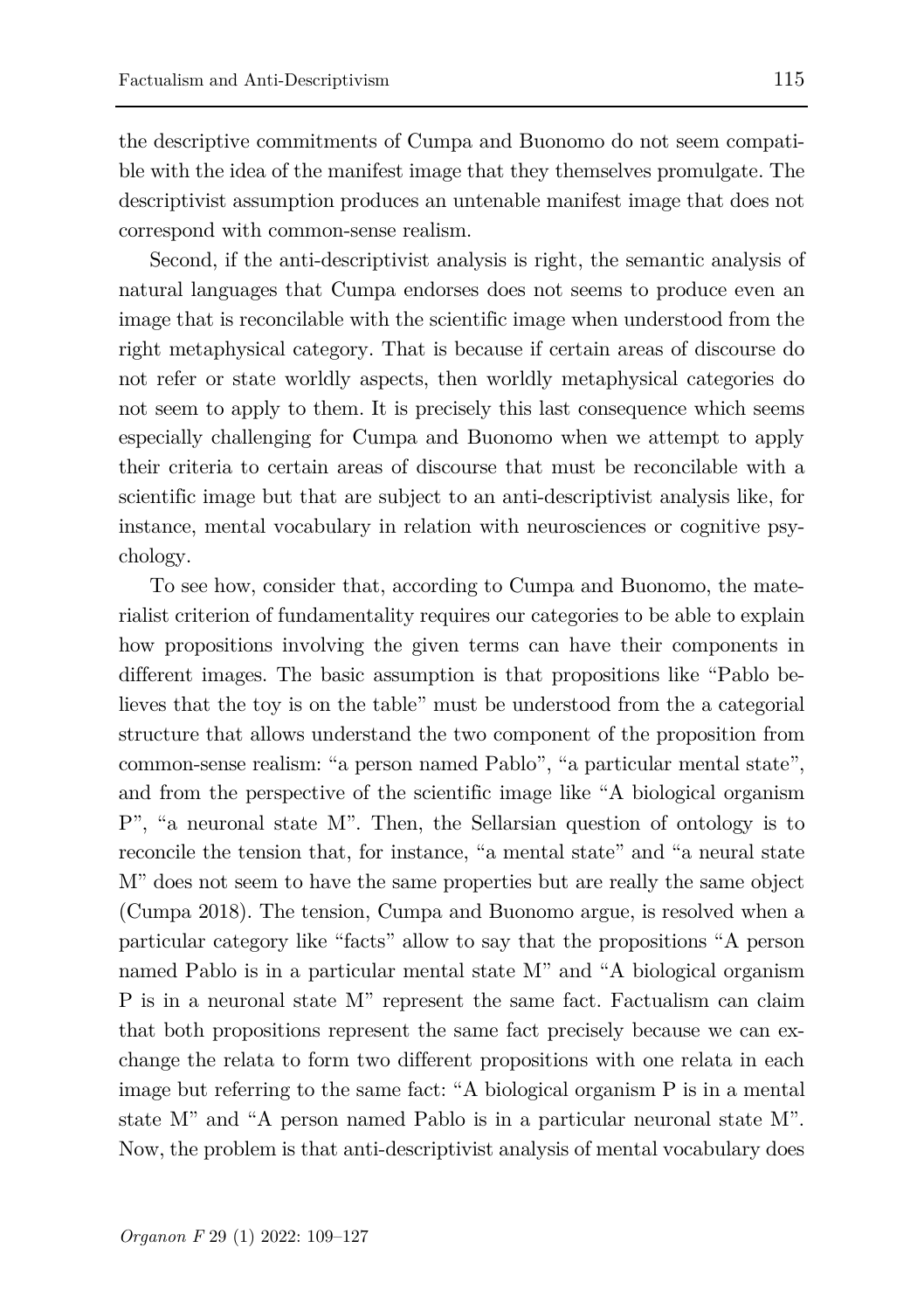the descriptive commitments of Cumpa and Buonomo do not seem compatible with the idea of the manifest image that they themselves promulgate. The descriptivist assumption produces an untenable manifest image that does not correspond with common-sense realism.

Second, if the anti-descriptivist analysis is right, the semantic analysis of natural languages that Cumpa endorses does not seems to produce even an image that is reconcilable with the scientific image when understood from the right metaphysical category. That is because if certain areas of discourse do not refer or state worldly aspects, then worldly metaphysical categories do not seem to apply to them. It is precisely this last consequence which seems especially challenging for Cumpa and Buonomo when we attempt to apply their criteria to certain areas of discourse that must be reconcilable with a scientific image but that are subject to an anti-descriptivist analysis like, for instance, mental vocabulary in relation with neurosciences or cognitive psychology.

To see how, consider that, according to Cumpa and Buonomo, the materialist criterion of fundamentality requires our categories to be able to explain how propositions involving the given terms can have their components in different images. The basic assumption is that propositions like "Pablo believes that the toy is on the table" must be understood from the a categorial structure that allows understand the two component of the proposition from common-sense realism: "a person named Pablo", "a particular mental state", and from the perspective of the scientific image like "A biological organism P", "a neuronal state M". Then, the Sellarsian question of ontology is to reconcile the tension that, for instance, "a mental state" and "a neural state M" does not seem to have the same properties but are really the same object (Cumpa 2018). The tension, Cumpa and Buonomo argue, is resolved when a particular category like "facts" allow to say that the propositions "A person named Pablo is in a particular mental state M" and "A biological organism P is in a neuronal state M" represent the same fact. Factualism can claim that both propositions represent the same fact precisely because we can exchange the relata to form two different propositions with one relata in each image but referring to the same fact: "A biological organism P is in a mental state M" and "A person named Pablo is in a particular neuronal state M". Now, the problem is that anti-descriptivist analysis of mental vocabulary does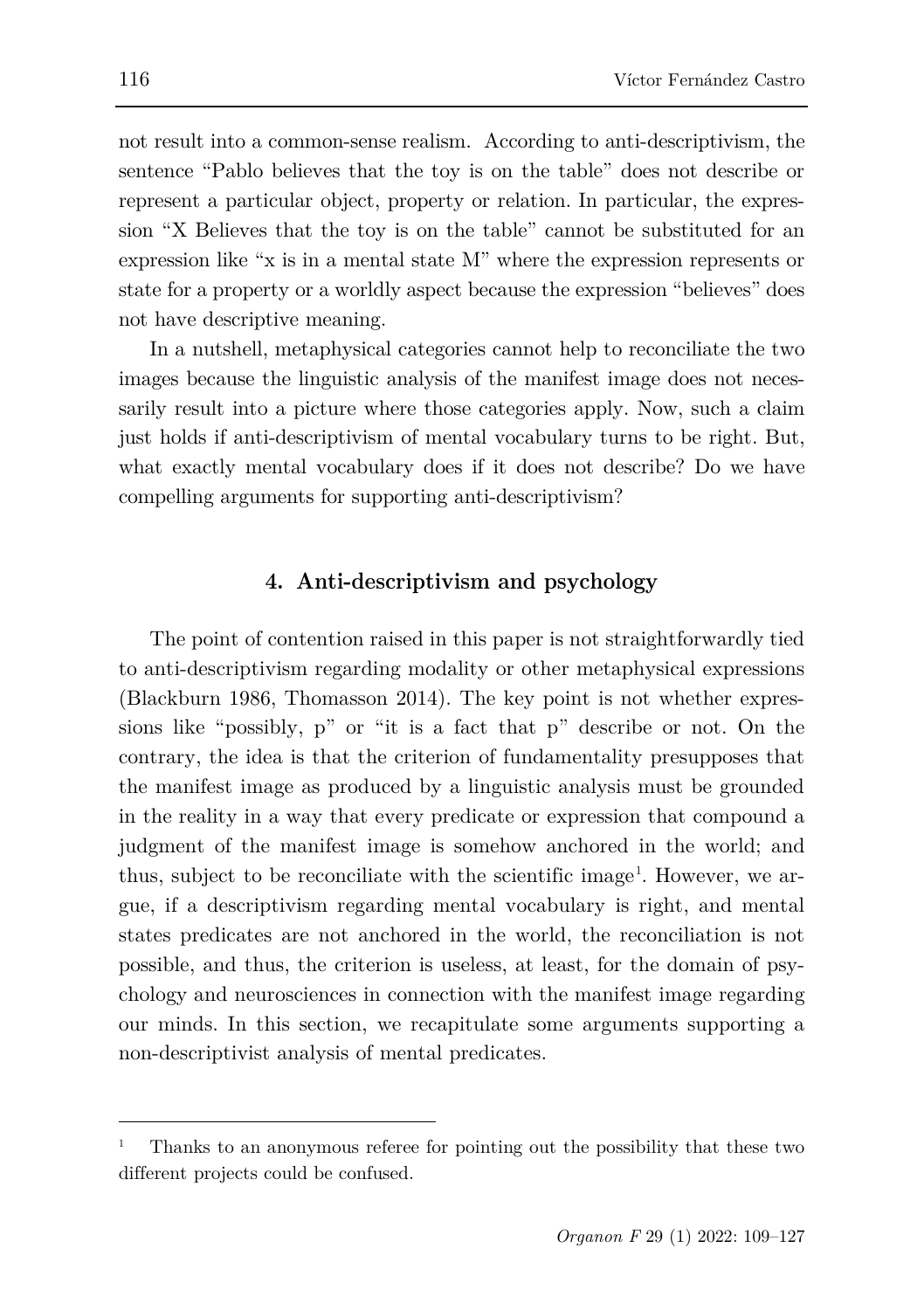not result into a common-sense realism. According to anti-descriptivism, the sentence "Pablo believes that the toy is on the table" does not describe or represent a particular object, property or relation. In particular, the expression "X Believes that the toy is on the table" cannot be substituted for an expression like "x is in a mental state M" where the expression represents or state for a property or a worldly aspect because the expression "believes" does not have descriptive meaning.

In a nutshell, metaphysical categories cannot help to reconciliate the two images because the linguistic analysis of the manifest image does not necessarily result into a picture where those categories apply. Now, such a claim just holds if anti-descriptivism of mental vocabulary turns to be right. But, what exactly mental vocabulary does if it does not describe? Do we have compelling arguments for supporting anti-descriptivism?

# **4. Anti-descriptivism and psychology**

The point of contention raised in this paper is not straightforwardly tied to anti-descriptivism regarding modality or other metaphysical expressions (Blackburn 1986, Thomasson 2014). The key point is not whether expressions like "possibly, p" or "it is a fact that p" describe or not. On the contrary, the idea is that the criterion of fundamentality presupposes that the manifest image as produced by a linguistic analysis must be grounded in the reality in a way that every predicate or expression that compound a judgment of the manifest image is somehow anchored in the world; and thus, subject to be reconciliate with the scientific image<sup>[1](#page-7-0)</sup>. However, we argue, if a descriptivism regarding mental vocabulary is right, and mental states predicates are not anchored in the world, the reconciliation is not possible, and thus, the criterion is useless, at least, for the domain of psychology and neurosciences in connection with the manifest image regarding our minds. In this section, we recapitulate some arguments supporting a non-descriptivist analysis of mental predicates.

ł

<span id="page-7-0"></span><sup>1</sup> Thanks to an anonymous referee for pointing out the possibility that these two different projects could be confused.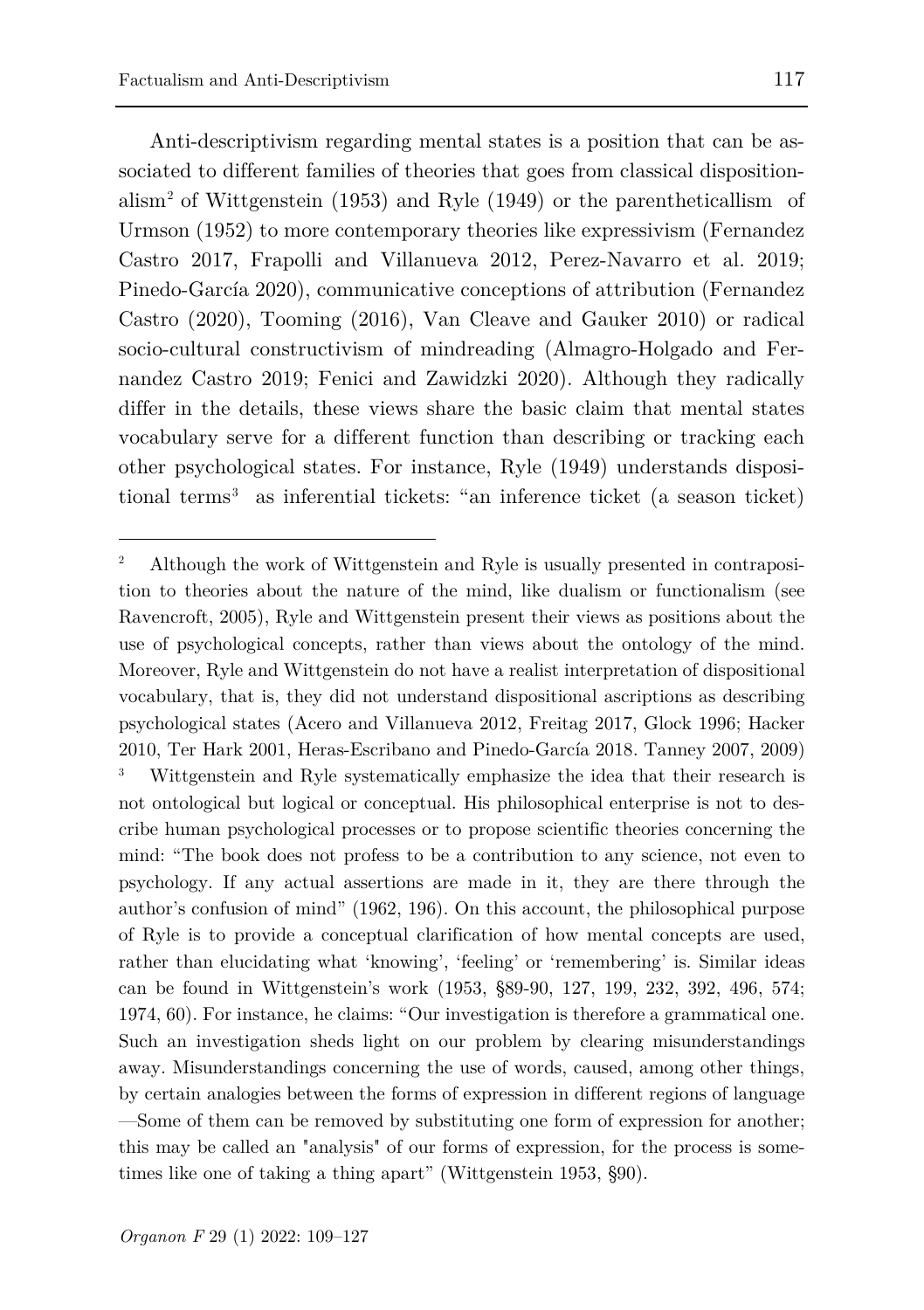ł

Anti-descriptivism regarding mental states is a position that can be associated to different families of theories that goes from classical disposition-alism<sup>[2](#page-8-0)</sup> of Wittgenstein (1953) and Ryle (1949) or the parentheticallism of Urmson (1952) to more contemporary theories like expressivism (Fernandez Castro 2017, Frapolli and Villanueva 2012, Perez-Navarro et al. 2019; Pinedo-García 2020), communicative conceptions of attribution (Fernandez Castro (2020), Tooming (2016), Van Cleave and Gauker 2010) or radical socio-cultural constructivism of mindreading (Almagro-Holgado and Fernandez Castro 2019; Fenici and Zawidzki 2020). Although they radically differ in the details, these views share the basic claim that mental states vocabulary serve for a different function than describing or tracking each other psychological states. For instance, Ryle (1949) understands disposi-tional terms<sup>[3](#page-8-1)</sup> as inferential tickets: "an inference ticket (a season ticket)

<span id="page-8-1"></span><span id="page-8-0"></span><sup>2</sup> Although the work of Wittgenstein and Ryle is usually presented in contraposition to theories about the nature of the mind, like dualism or functionalism (see Ravencroft, 2005), Ryle and Wittgenstein present their views as positions about the use of psychological concepts, rather than views about the ontology of the mind. Moreover, Ryle and Wittgenstein do not have a realist interpretation of dispositional vocabulary, that is, they did not understand dispositional ascriptions as describing psychological states (Acero and Villanueva 2012, Freitag 2017, Glock 1996; Hacker 2010, Ter Hark 2001, Heras-Escribano and Pinedo-García 2018. Tanney 2007, 2009) Wittgenstein and Ryle systematically emphasize the idea that their research is not ontological but logical or conceptual. His philosophical enterprise is not to describe human psychological processes or to propose scientific theories concerning the mind: "The book does not profess to be a contribution to any science, not even to psychology. If any actual assertions are made in it, they are there through the author's confusion of mind" (1962, 196). On this account, the philosophical purpose of Ryle is to provide a conceptual clarification of how mental concepts are used, rather than elucidating what 'knowing', 'feeling' or 'remembering' is. Similar ideas can be found in Wittgenstein's work (1953, §89-90, 127, 199, 232, 392, 496, 574; 1974, 60). For instance, he claims: "Our investigation is therefore a grammatical one. Such an investigation sheds light on our problem by clearing misunderstandings away. Misunderstandings concerning the use of words, caused, among other things, by certain analogies between the forms of expression in different regions of language —Some of them can be removed by substituting one form of expression for another; this may be called an "analysis" of our forms of expression, for the process is sometimes like one of taking a thing apart" (Wittgenstein 1953, §90).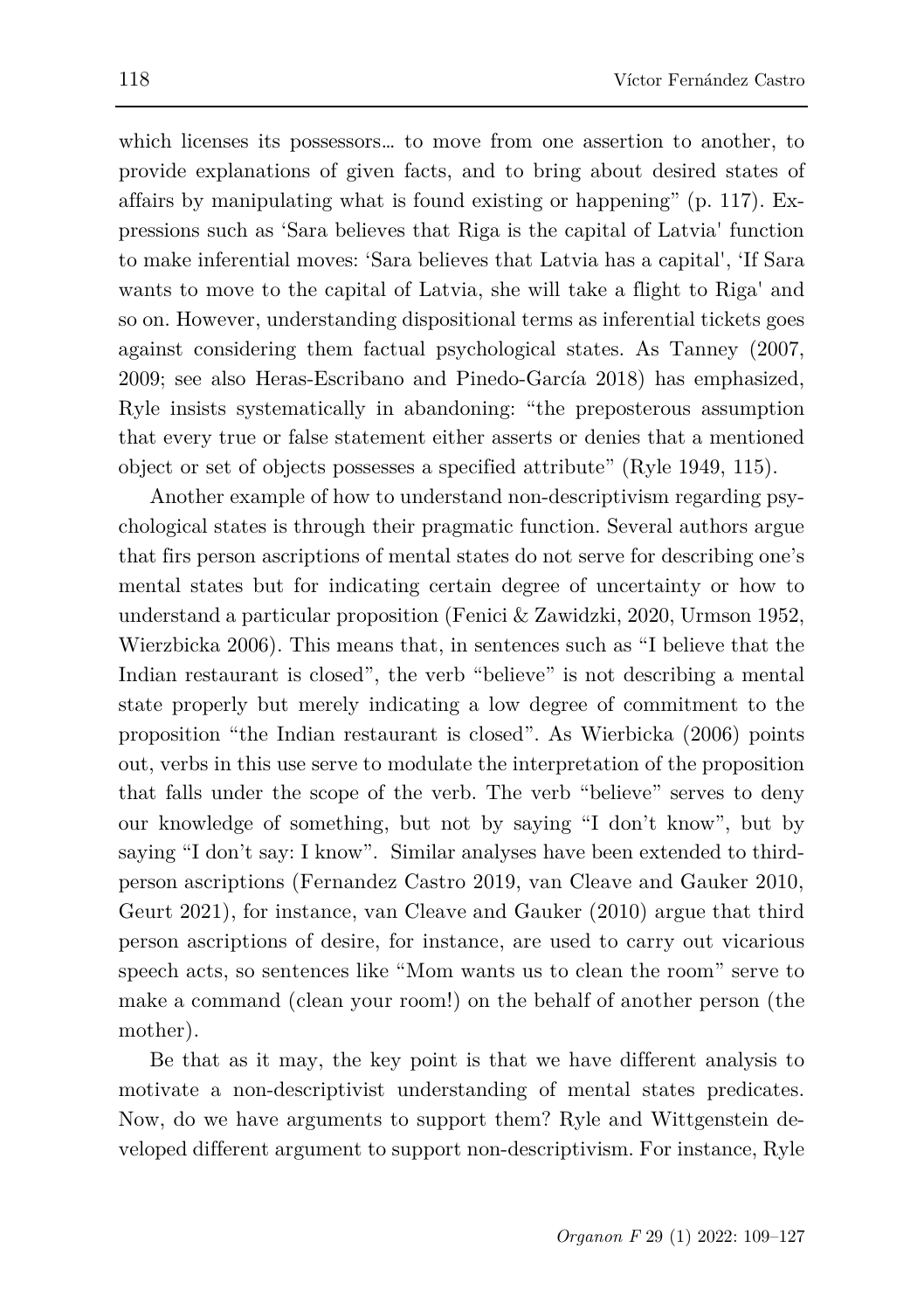which licenses its possessors… to move from one assertion to another, to provide explanations of given facts, and to bring about desired states of affairs by manipulating what is found existing or happening" (p. 117). Expressions such as 'Sara believes that Riga is the capital of Latvia' function to make inferential moves: 'Sara believes that Latvia has a capital', 'If Sara wants to move to the capital of Latvia, she will take a flight to Riga' and so on. However, understanding dispositional terms as inferential tickets goes against considering them factual psychological states. As Tanney (2007, 2009; see also Heras-Escribano and Pinedo-García 2018) has emphasized, Ryle insists systematically in abandoning: "the preposterous assumption that every true or false statement either asserts or denies that a mentioned object or set of objects possesses a specified attribute" (Ryle 1949, 115).

Another example of how to understand non-descriptivism regarding psychological states is through their pragmatic function. Several authors argue that firs person ascriptions of mental states do not serve for describing one's mental states but for indicating certain degree of uncertainty or how to understand a particular proposition (Fenici & Zawidzki, 2020, Urmson 1952, Wierzbicka 2006). This means that, in sentences such as "I believe that the Indian restaurant is closed", the verb "believe" is not describing a mental state properly but merely indicating a low degree of commitment to the proposition "the Indian restaurant is closed". As Wierbicka (2006) points out, verbs in this use serve to modulate the interpretation of the proposition that falls under the scope of the verb. The verb "believe" serves to deny our knowledge of something, but not by saying "I don't know", but by saying "I don't say: I know". Similar analyses have been extended to thirdperson ascriptions (Fernandez Castro 2019, van Cleave and Gauker 2010, Geurt 2021), for instance, van Cleave and Gauker (2010) argue that third person ascriptions of desire, for instance, are used to carry out vicarious speech acts, so sentences like "Mom wants us to clean the room" serve to make a command (clean your room!) on the behalf of another person (the mother).

Be that as it may, the key point is that we have different analysis to motivate a non-descriptivist understanding of mental states predicates. Now, do we have arguments to support them? Ryle and Wittgenstein developed different argument to support non-descriptivism. For instance, Ryle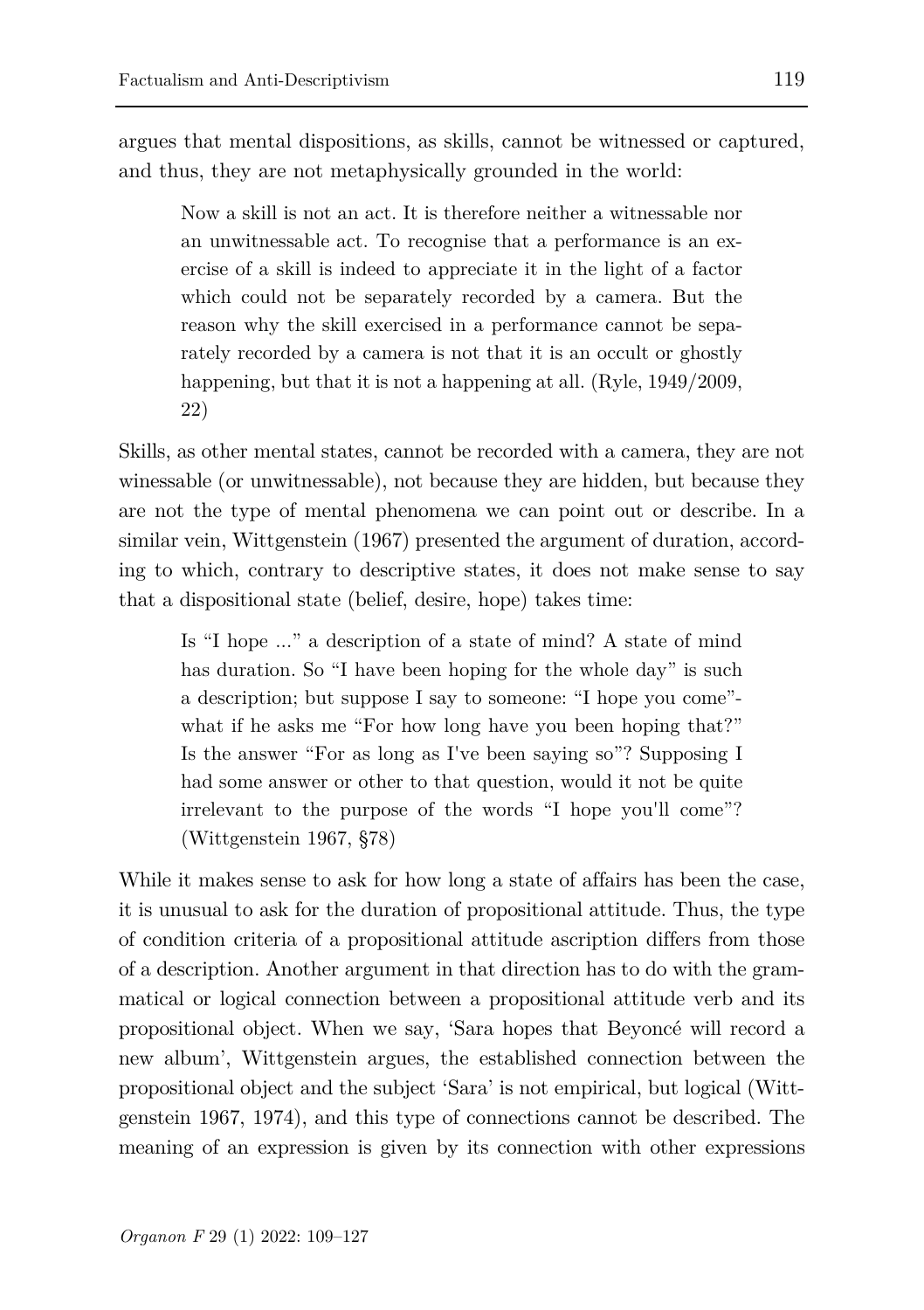argues that mental dispositions, as skills, cannot be witnessed or captured, and thus, they are not metaphysically grounded in the world:

Now a skill is not an act. It is therefore neither a witnessable nor an unwitnessable act. To recognise that a performance is an exercise of a skill is indeed to appreciate it in the light of a factor which could not be separately recorded by a camera. But the reason why the skill exercised in a performance cannot be separately recorded by a camera is not that it is an occult or ghostly happening, but that it is not a happening at all. (Ryle, 1949/2009, 22)

Skills, as other mental states, cannot be recorded with a camera, they are not winessable (or unwitnessable), not because they are hidden, but because they are not the type of mental phenomena we can point out or describe. In a similar vein, Wittgenstein (1967) presented the argument of duration, according to which, contrary to descriptive states, it does not make sense to say that a dispositional state (belief, desire, hope) takes time:

Is "I hope ..." a description of a state of mind? A state of mind has duration. So "I have been hoping for the whole day" is such a description; but suppose I say to someone: "I hope you come" what if he asks me "For how long have you been hoping that?" Is the answer "For as long as I've been saying so"? Supposing I had some answer or other to that question, would it not be quite irrelevant to the purpose of the words "I hope you'll come"? (Wittgenstein 1967, §78)

While it makes sense to ask for how long a state of affairs has been the case, it is unusual to ask for the duration of propositional attitude. Thus, the type of condition criteria of a propositional attitude ascription differs from those of a description. Another argument in that direction has to do with the grammatical or logical connection between a propositional attitude verb and its propositional object. When we say, 'Sara hopes that Beyoncé will record a new album', Wittgenstein argues, the established connection between the propositional object and the subject 'Sara' is not empirical, but logical (Wittgenstein 1967, 1974), and this type of connections cannot be described. The meaning of an expression is given by its connection with other expressions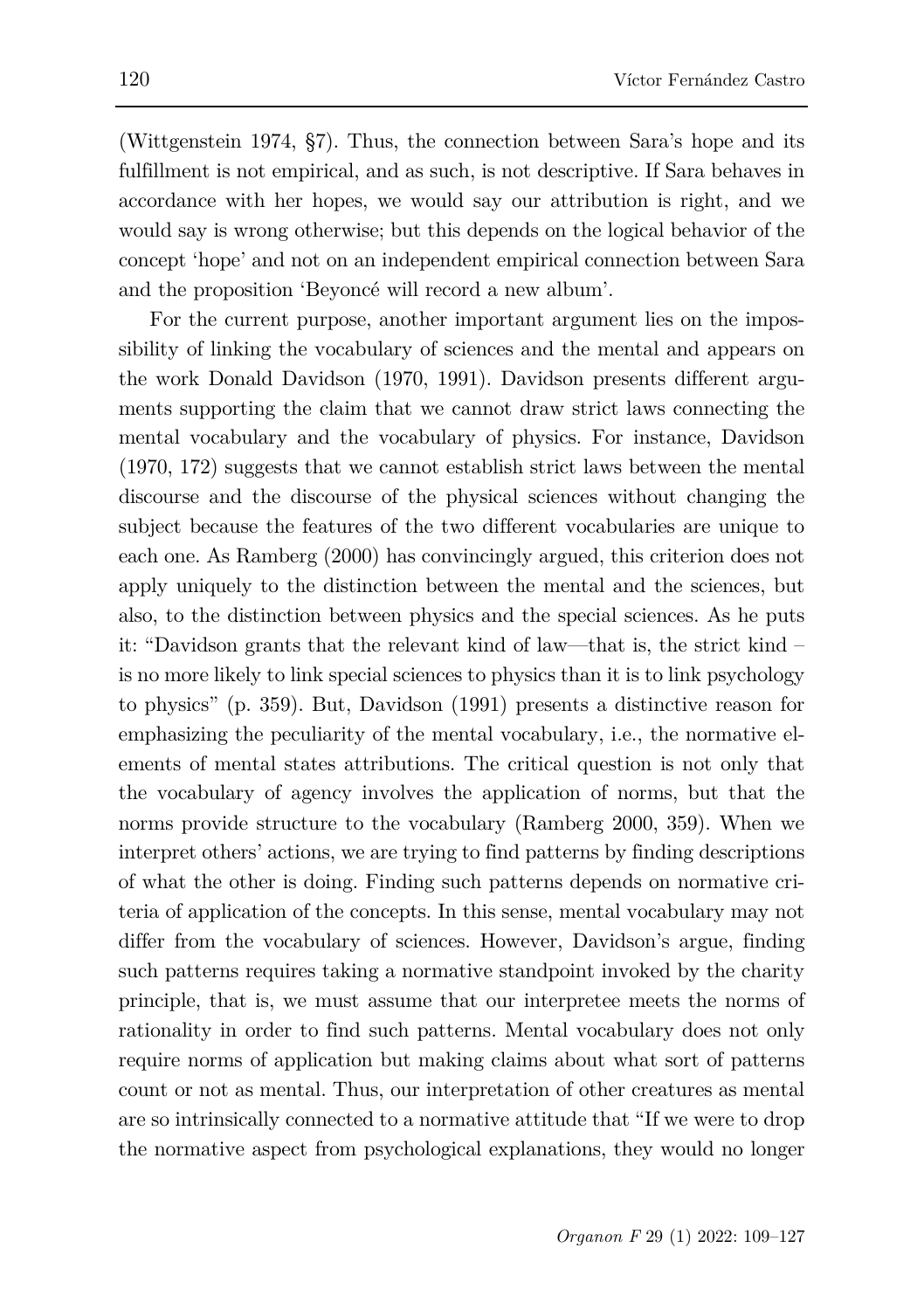(Wittgenstein 1974, §7). Thus, the connection between Sara's hope and its fulfillment is not empirical, and as such, is not descriptive. If Sara behaves in accordance with her hopes, we would say our attribution is right, and we would say is wrong otherwise; but this depends on the logical behavior of the concept 'hope' and not on an independent empirical connection between Sara and the proposition 'Beyoncé will record a new album'.

For the current purpose, another important argument lies on the impossibility of linking the vocabulary of sciences and the mental and appears on the work Donald Davidson (1970, 1991). Davidson presents different arguments supporting the claim that we cannot draw strict laws connecting the mental vocabulary and the vocabulary of physics. For instance, Davidson (1970, 172) suggests that we cannot establish strict laws between the mental discourse and the discourse of the physical sciences without changing the subject because the features of the two different vocabularies are unique to each one. As Ramberg (2000) has convincingly argued, this criterion does not apply uniquely to the distinction between the mental and the sciences, but also, to the distinction between physics and the special sciences. As he puts it: "Davidson grants that the relevant kind of law—that is, the strict kind – is no more likely to link special sciences to physics than it is to link psychology to physics" (p. 359). But, Davidson (1991) presents a distinctive reason for emphasizing the peculiarity of the mental vocabulary, i.e., the normative elements of mental states attributions. The critical question is not only that the vocabulary of agency involves the application of norms, but that the norms provide structure to the vocabulary (Ramberg 2000, 359). When we interpret others' actions, we are trying to find patterns by finding descriptions of what the other is doing. Finding such patterns depends on normative criteria of application of the concepts. In this sense, mental vocabulary may not differ from the vocabulary of sciences. However, Davidson's argue, finding such patterns requires taking a normative standpoint invoked by the charity principle, that is, we must assume that our interpretee meets the norms of rationality in order to find such patterns. Mental vocabulary does not only require norms of application but making claims about what sort of patterns count or not as mental. Thus, our interpretation of other creatures as mental are so intrinsically connected to a normative attitude that "If we were to drop the normative aspect from psychological explanations, they would no longer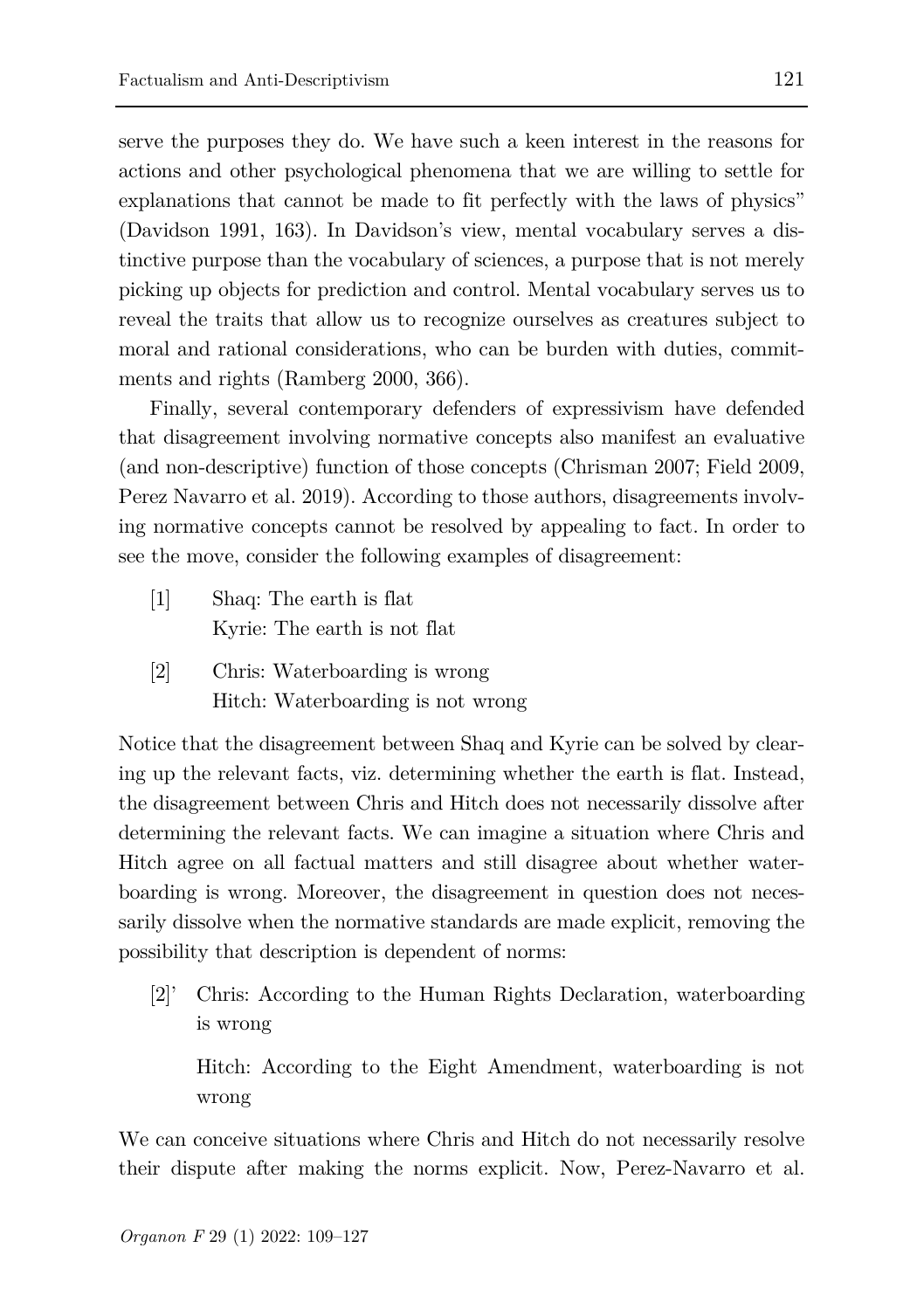serve the purposes they do. We have such a keen interest in the reasons for actions and other psychological phenomena that we are willing to settle for explanations that cannot be made to fit perfectly with the laws of physics" (Davidson 1991, 163). In Davidson's view, mental vocabulary serves a distinctive purpose than the vocabulary of sciences, a purpose that is not merely picking up objects for prediction and control. Mental vocabulary serves us to reveal the traits that allow us to recognize ourselves as creatures subject to moral and rational considerations, who can be burden with duties, commitments and rights (Ramberg 2000, 366).

Finally, several contemporary defenders of expressivism have defended that disagreement involving normative concepts also manifest an evaluative (and non-descriptive) function of those concepts (Chrisman 2007; Field 2009, Perez Navarro et al. 2019). According to those authors, disagreements involving normative concepts cannot be resolved by appealing to fact. In order to see the move, consider the following examples of disagreement:

- [1] Shaq: The earth is flat Kyrie: The earth is not flat
- [2] Chris: Waterboarding is wrong Hitch: Waterboarding is not wrong

Notice that the disagreement between Shaq and Kyrie can be solved by clearing up the relevant facts, viz. determining whether the earth is flat. Instead, the disagreement between Chris and Hitch does not necessarily dissolve after determining the relevant facts. We can imagine a situation where Chris and Hitch agree on all factual matters and still disagree about whether waterboarding is wrong. Moreover, the disagreement in question does not necessarily dissolve when the normative standards are made explicit, removing the possibility that description is dependent of norms:

[2]' Chris: According to the Human Rights Declaration, waterboarding is wrong

Hitch: According to the Eight Amendment, waterboarding is not wrong

We can conceive situations where Chris and Hitch do not necessarily resolve their dispute after making the norms explicit. Now, Perez-Navarro et al.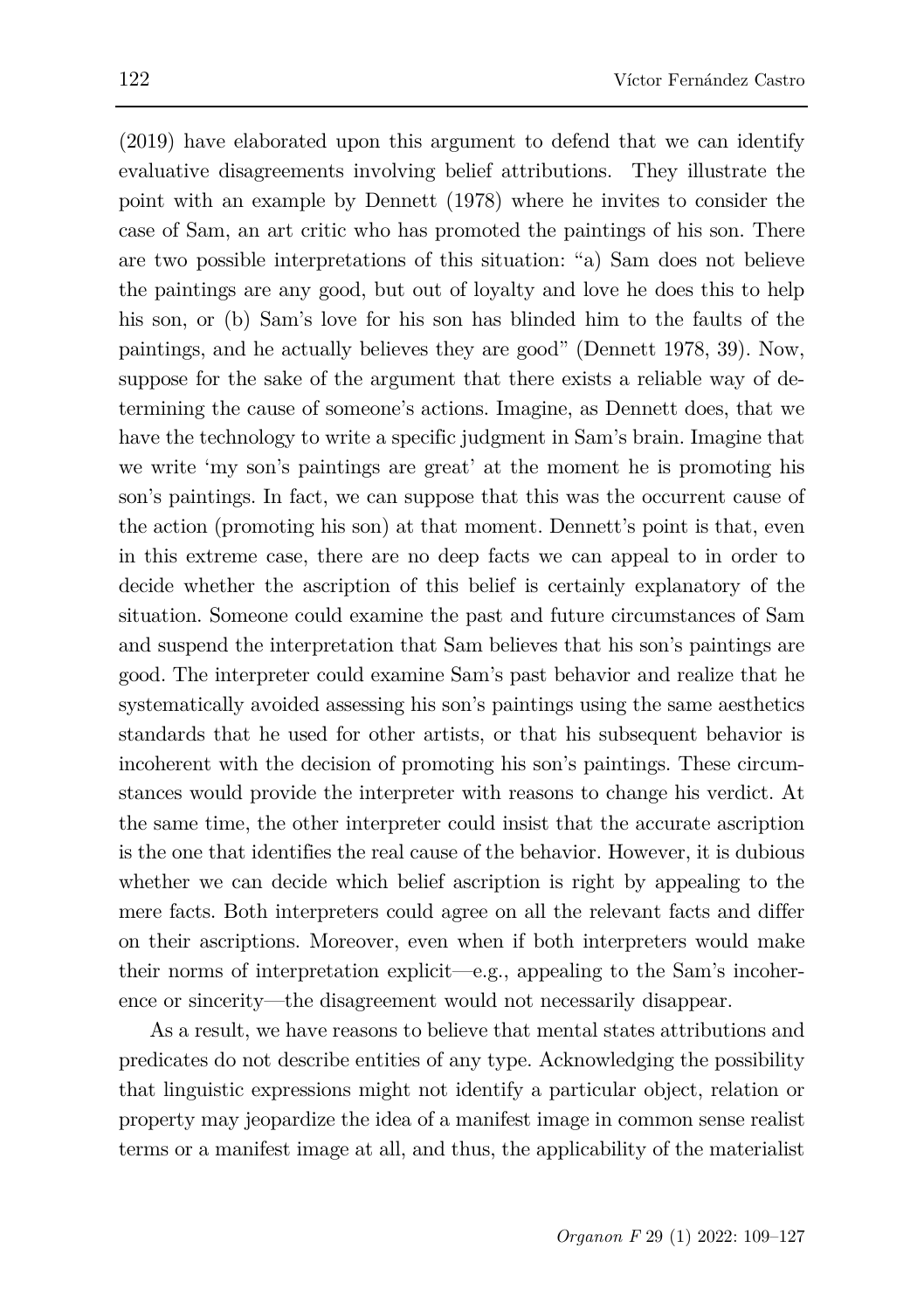(2019) have elaborated upon this argument to defend that we can identify evaluative disagreements involving belief attributions. They illustrate the point with an example by Dennett (1978) where he invites to consider the case of Sam, an art critic who has promoted the paintings of his son. There are two possible interpretations of this situation: "a) Sam does not believe the paintings are any good, but out of loyalty and love he does this to help his son, or (b) Sam's love for his son has blinded him to the faults of the paintings, and he actually believes they are good" (Dennett 1978, 39). Now, suppose for the sake of the argument that there exists a reliable way of determining the cause of someone's actions. Imagine, as Dennett does, that we have the technology to write a specific judgment in Sam's brain. Imagine that we write 'my son's paintings are great' at the moment he is promoting his son's paintings. In fact, we can suppose that this was the occurrent cause of the action (promoting his son) at that moment. Dennett's point is that, even in this extreme case, there are no deep facts we can appeal to in order to decide whether the ascription of this belief is certainly explanatory of the situation. Someone could examine the past and future circumstances of Sam and suspend the interpretation that Sam believes that his son's paintings are good. The interpreter could examine Sam's past behavior and realize that he systematically avoided assessing his son's paintings using the same aesthetics standards that he used for other artists, or that his subsequent behavior is incoherent with the decision of promoting his son's paintings. These circumstances would provide the interpreter with reasons to change his verdict. At the same time, the other interpreter could insist that the accurate ascription is the one that identifies the real cause of the behavior. However, it is dubious whether we can decide which belief ascription is right by appealing to the mere facts. Both interpreters could agree on all the relevant facts and differ on their ascriptions. Moreover, even when if both interpreters would make their norms of interpretation explicit—e.g., appealing to the Sam's incoherence or sincerity—the disagreement would not necessarily disappear.

As a result, we have reasons to believe that mental states attributions and predicates do not describe entities of any type. Acknowledging the possibility that linguistic expressions might not identify a particular object, relation or property may jeopardize the idea of a manifest image in common sense realist terms or a manifest image at all, and thus, the applicability of the materialist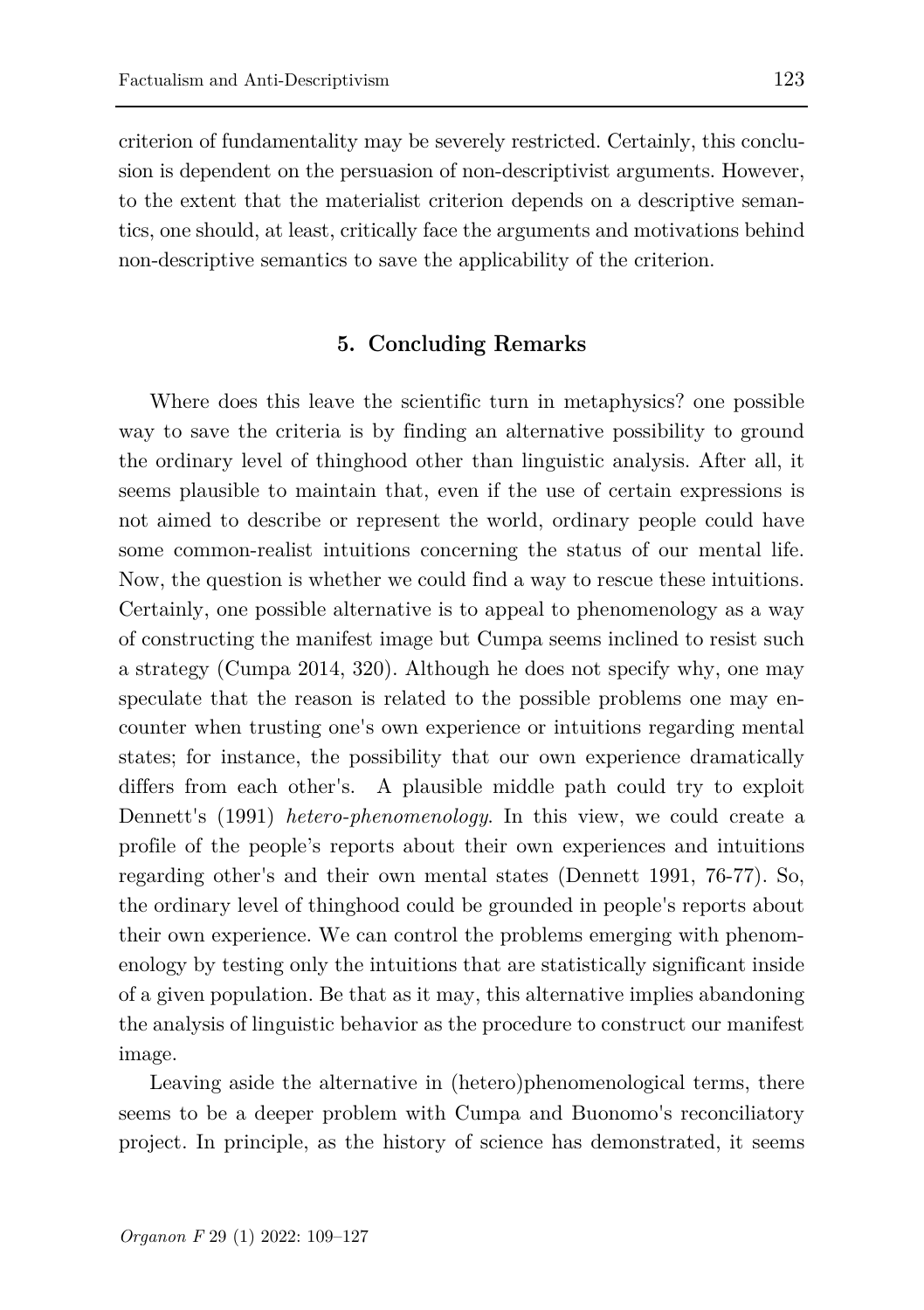criterion of fundamentality may be severely restricted. Certainly, this conclusion is dependent on the persuasion of non-descriptivist arguments. However, to the extent that the materialist criterion depends on a descriptive semantics, one should, at least, critically face the arguments and motivations behind non-descriptive semantics to save the applicability of the criterion.

# **5. Concluding Remarks**

Where does this leave the scientific turn in metaphysics? one possible way to save the criteria is by finding an alternative possibility to ground the ordinary level of thinghood other than linguistic analysis. After all, it seems plausible to maintain that, even if the use of certain expressions is not aimed to describe or represent the world, ordinary people could have some common-realist intuitions concerning the status of our mental life. Now, the question is whether we could find a way to rescue these intuitions. Certainly, one possible alternative is to appeal to phenomenology as a way of constructing the manifest image but Cumpa seems inclined to resist such a strategy (Cumpa 2014, 320). Although he does not specify why, one may speculate that the reason is related to the possible problems one may encounter when trusting one's own experience or intuitions regarding mental states; for instance, the possibility that our own experience dramatically differs from each other's. A plausible middle path could try to exploit Dennett's (1991) *hetero-phenomenology*. In this view, we could create a profile of the people's reports about their own experiences and intuitions regarding other's and their own mental states (Dennett 1991, 76-77). So, the ordinary level of thinghood could be grounded in people's reports about their own experience. We can control the problems emerging with phenomenology by testing only the intuitions that are statistically significant inside of a given population. Be that as it may, this alternative implies abandoning the analysis of linguistic behavior as the procedure to construct our manifest image.

Leaving aside the alternative in (hetero)phenomenological terms, there seems to be a deeper problem with Cumpa and Buonomo's reconciliatory project. In principle, as the history of science has demonstrated, it seems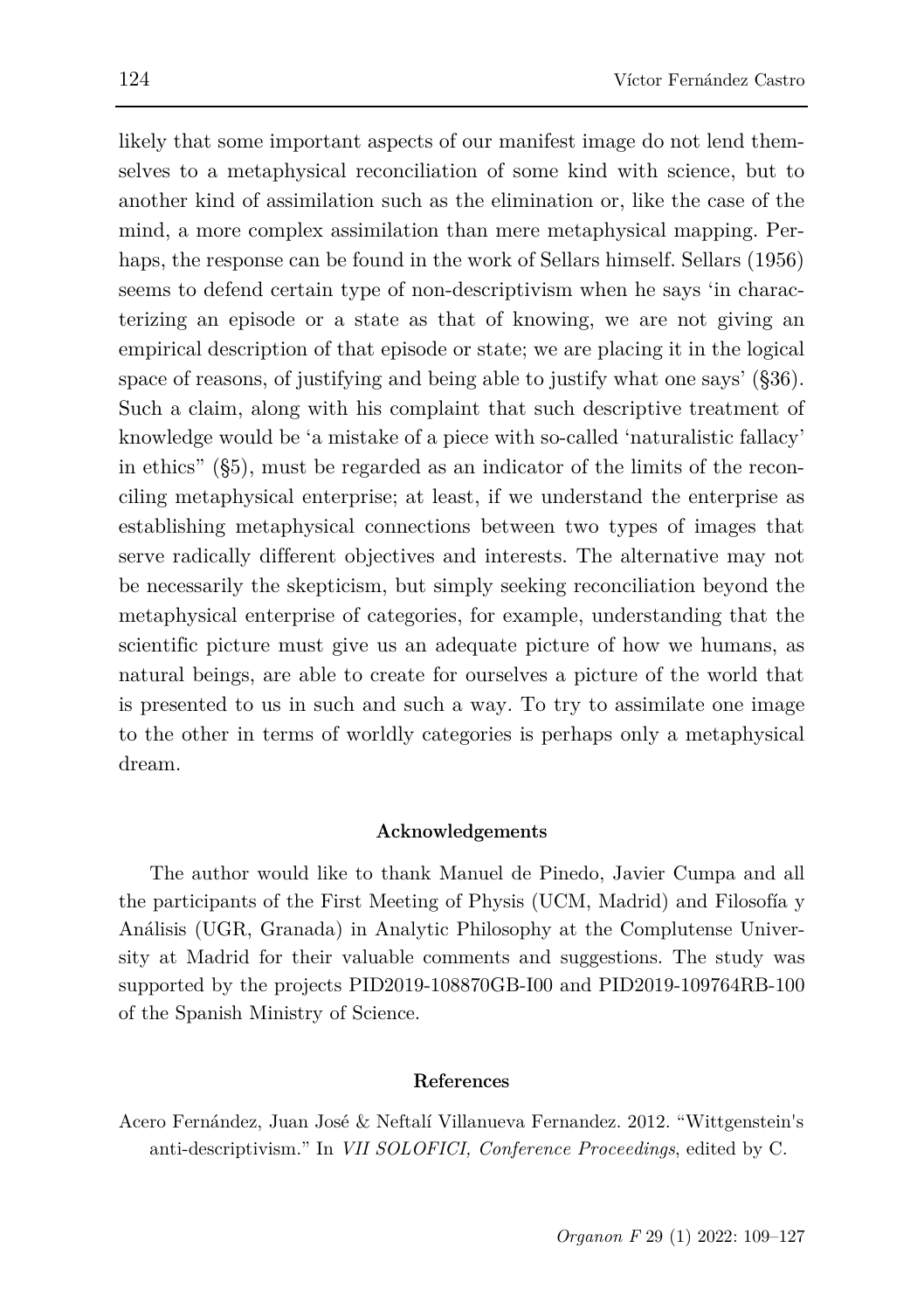likely that some important aspects of our manifest image do not lend themselves to a metaphysical reconciliation of some kind with science, but to another kind of assimilation such as the elimination or, like the case of the mind, a more complex assimilation than mere metaphysical mapping. Perhaps, the response can be found in the work of Sellars himself. Sellars (1956) seems to defend certain type of non-descriptivism when he says 'in characterizing an episode or a state as that of knowing, we are not giving an empirical description of that episode or state; we are placing it in the logical space of reasons, of justifying and being able to justify what one says' (§36). Such a claim, along with his complaint that such descriptive treatment of knowledge would be 'a mistake of a piece with so-called 'naturalistic fallacy' in ethics" (§5), must be regarded as an indicator of the limits of the reconciling metaphysical enterprise; at least, if we understand the enterprise as establishing metaphysical connections between two types of images that serve radically different objectives and interests. The alternative may not be necessarily the skepticism, but simply seeking reconciliation beyond the metaphysical enterprise of categories, for example, understanding that the scientific picture must give us an adequate picture of how we humans, as natural beings, are able to create for ourselves a picture of the world that is presented to us in such and such a way. To try to assimilate one image to the other in terms of worldly categories is perhaps only a metaphysical dream.

### **Acknowledgements**

The author would like to thank Manuel de Pinedo, Javier Cumpa and all the participants of the First Meeting of Physis (UCM, Madrid) and Filosofía y Análisis (UGR, Granada) in Analytic Philosophy at the Complutense University at Madrid for their valuable comments and suggestions. The study was supported by the projects PID2019-108870GB-I00 and PID2019-109764RB-100 of the Spanish Ministry of Science.

#### **References**

Acero Fernández, Juan José & Neftalí Villanueva Fernandez. 2012. "Wittgenstein's anti-descriptivism." In *VII SOLOFICI, Conference Proceedings*, edited by C.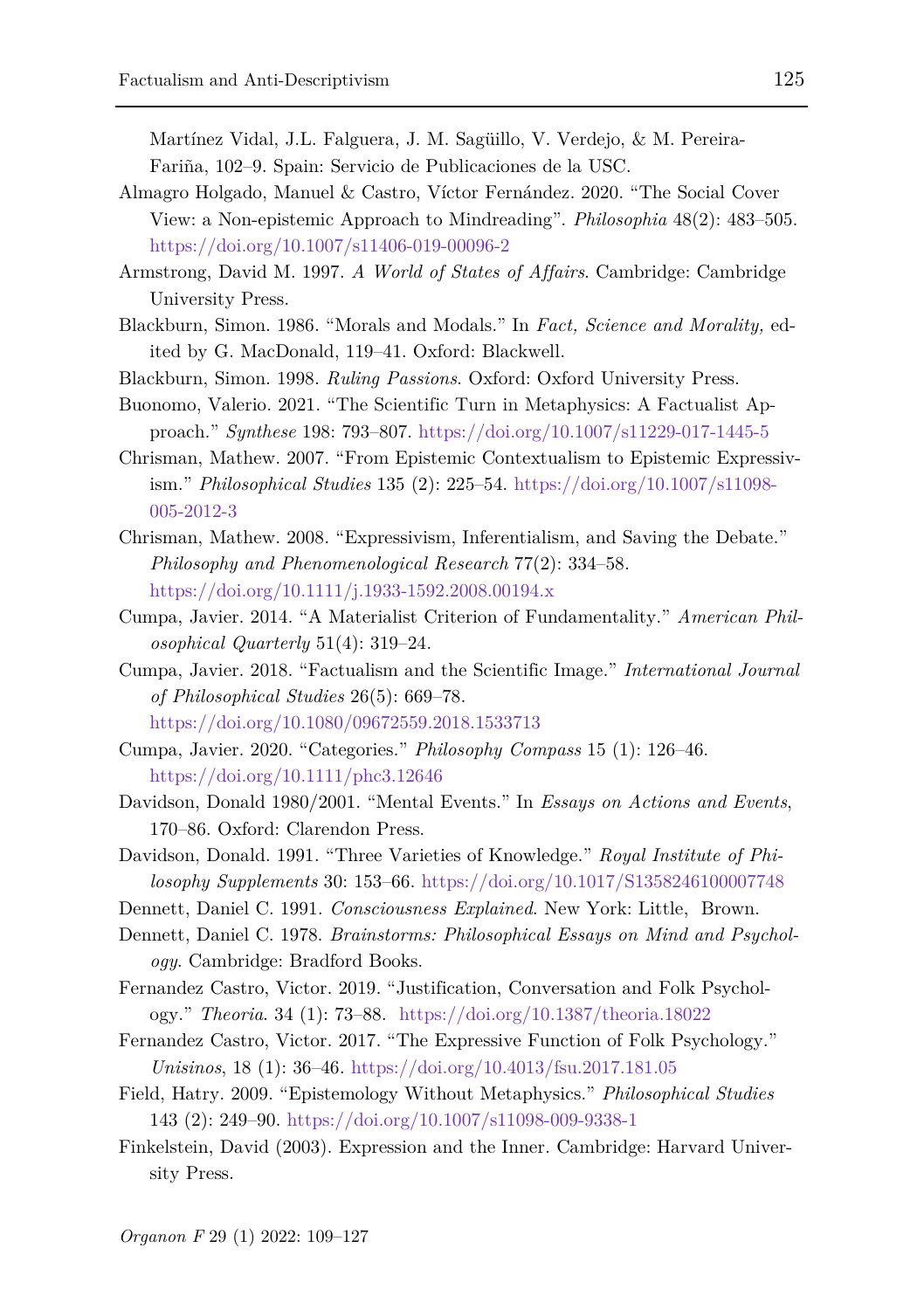Martínez Vidal, J.L. Falguera, J. M. Sagüillo, V. Verdejo, & M. Pereira-Fariña, 102–9. Spain: Servicio de Publicaciones de la USC.

- Almagro Holgado, Manuel & Castro, Víctor Fernández. 2020. "The Social Cover View: a Non-epistemic Approach to Mindreading". *Philosophia* 48(2): 483–505. <https://doi.org/10.1007/s11406-019-00096-2>
- Armstrong, David M. 1997. *A World of States of Affairs*. Cambridge: Cambridge University Press.
- Blackburn, Simon. 1986. "Morals and Modals." In *Fact, Science and Morality,* edited by G. MacDonald, 119–41. Oxford: Blackwell.
- Blackburn, Simon. 1998. *Ruling Passions*. Oxford: Oxford University Press.
- Buonomo, Valerio. 2021. "The Scientific Turn in Metaphysics: A Factualist Approach." *Synthese* 198: 793–807.<https://doi.org/10.1007/s11229-017-1445-5>
- Chrisman, Mathew. 2007. "From Epistemic Contextualism to Epistemic Expressivism." *Philosophical Studies* 135 (2): 225–54. [https://doi.org/10.1007/s11098-](https://doi.org/10.1007/s11098-005-2012-3) [005-2012-3](https://doi.org/10.1007/s11098-005-2012-3)
- Chrisman, Mathew. 2008. "Expressivism, Inferentialism, and Saving the Debate." *Philosophy and Phenomenological Research* 77(2): 334–58. <https://doi.org/10.1111/j.1933-1592.2008.00194.x>
- Cumpa, Javier. 2014. "A Materialist Criterion of Fundamentality." *American Philosophical Quarterly* 51(4): 319–24.
- Cumpa, Javier. 2018. "Factualism and the Scientific Image." *International Journal of Philosophical Studies* 26(5): 669–78. <https://doi.org/10.1080/09672559.2018.1533713>
- Cumpa, Javier. 2020. "Categories." *Philosophy Compass* 15 (1): 126–46. <https://doi.org/10.1111/phc3.12646>
- Davidson, Donald 1980/2001. "Mental Events." In *Essays on Actions and Events*, 170–86. Oxford: Clarendon Press.
- Davidson, Donald. 1991. "Three Varieties of Knowledge." *Royal Institute of Philosophy Supplements* 30: 153–66. <https://doi.org/10.1017/S1358246100007748>
- Dennett, Daniel C. 1991. *Consciousness Explained*. New York: Little, Brown.
- Dennett, Daniel C. 1978. *Brainstorms: Philosophical Essays on Mind and Psychology*. Cambridge: Bradford Books.
- Fernandez Castro, Victor. 2019. "Justification, Conversation and Folk Psychology." *Theoria*. 34 (1): 73–88. <https://doi.org/10.1387/theoria.18022>
- Fernandez Castro, Victor. 2017. "The Expressive Function of Folk Psychology." *Unisinos*, 18 (1): 36–46.<https://doi.org/10.4013/fsu.2017.181.05>
- Field, Hatry. 2009. "Epistemology Without Metaphysics." *Philosophical Studies*  143 (2): 249–90. <https://doi.org/10.1007/s11098-009-9338-1>
- Finkelstein, David (2003). Expression and the Inner. Cambridge: Harvard University Press.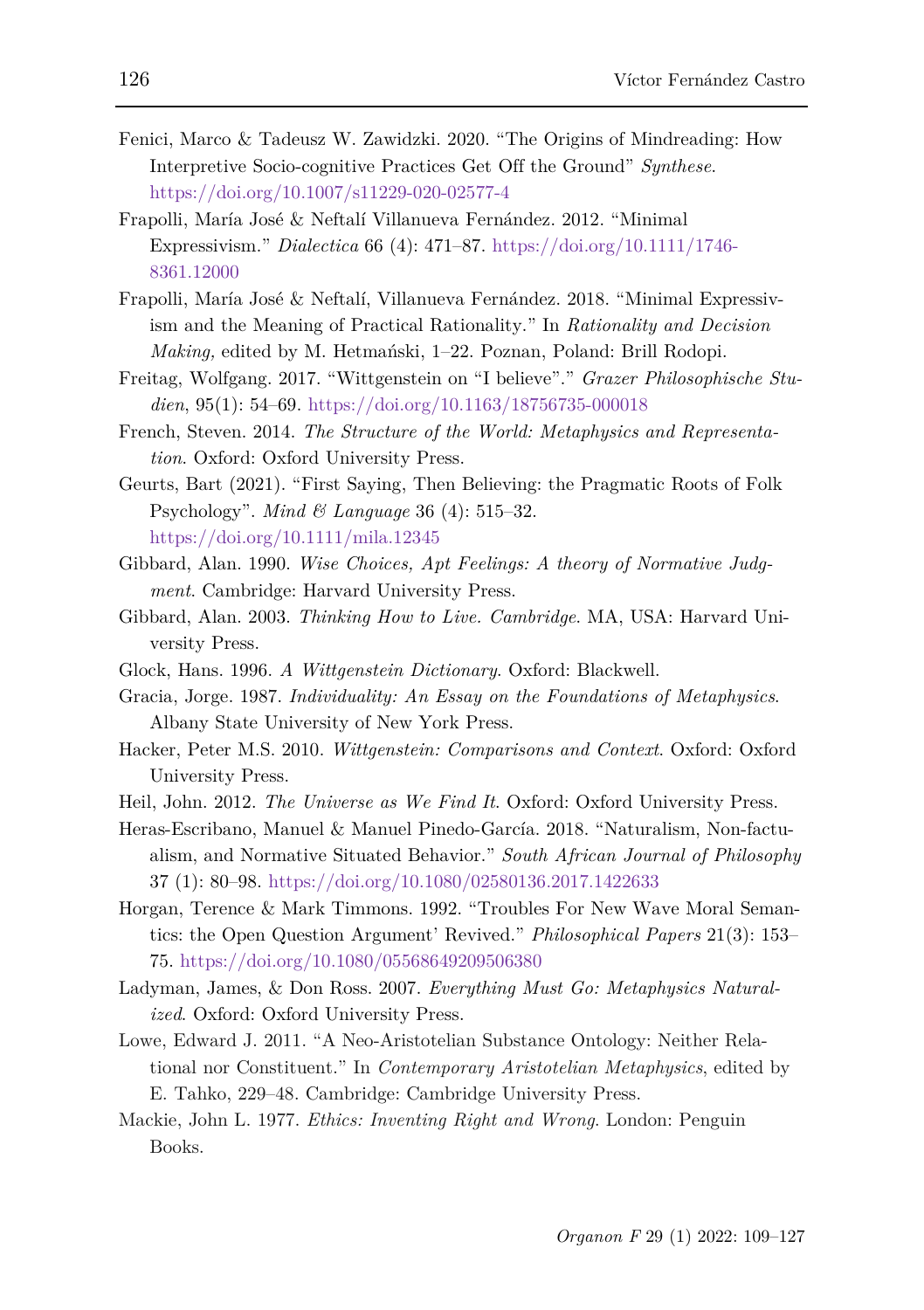- Fenici, Marco & Tadeusz W. Zawidzki. 2020. "The Origins of Mindreading: How Interpretive Socio-cognitive Practices Get Off the Ground" *Synthese*. <https://doi.org/10.1007/s11229-020-02577-4>
- Frapolli, María José & Neftalí Villanueva Fernández. 2012. "Minimal Expressivism." *Dialectica* 66 (4): 471–87. [https://doi.org/10.1111/1746-](https://doi.org/10.1111/1746-8361.12000) [8361.12000](https://doi.org/10.1111/1746-8361.12000)
- Frapolli, María José & Neftalí, Villanueva Fernández. 2018. "Minimal Expressivism and the Meaning of Practical Rationality." In *Rationality and Decision Making,* edited by M. Hetmański, 1–22. Poznan, Poland: Brill Rodopi.
- Freitag, Wolfgang. 2017. "Wittgenstein on "I believe"." *Grazer Philosophische Studien*, 95(1): 54–69. <https://doi.org/10.1163/18756735-000018>
- French, Steven. 2014. *The Structure of the World: Metaphysics and Representation*. Oxford: Oxford University Press.
- Geurts, Bart (2021). "First Saying, Then Believing: the Pragmatic Roots of Folk Psychology". *Mind & Language* 36 (4): 515–32. <https://doi.org/10.1111/mila.12345>
- Gibbard, Alan. 1990. *Wise Choices, Apt Feelings: A theory of Normative Judgment*. Cambridge: Harvard University Press.
- Gibbard, Alan. 2003. *Thinking How to Live. Cambridge*. MA, USA: Harvard University Press.
- Glock, Hans. 1996. *A Wittgenstein Dictionary*. Oxford: Blackwell.
- Gracia, Jorge. 1987. *Individuality: An Essay on the Foundations of Metaphysics*. Albany State University of New York Press.
- Hacker, Peter M.S. 2010. *Wittgenstein: Comparisons and Context*. Oxford: Oxford University Press.
- Heil, John. 2012. *The Universe as We Find It*. Oxford: Oxford University Press.
- Heras-Escribano, Manuel & Manuel Pinedo-García. 2018. "Naturalism, Non-factualism, and Normative Situated Behavior." *South African Journal of Philosophy* 37 (1): 80–98.<https://doi.org/10.1080/02580136.2017.1422633>
- Horgan, Terence & Mark Timmons. 1992. "Troubles For New Wave Moral Semantics: the Open Question Argument' Revived." *Philosophical Papers* 21(3): 153– 75[. https://doi.org/10.1080/05568649209506380](https://doi.org/10.1080/05568649209506380)
- Ladyman, James, & Don Ross. 2007. *Everything Must Go: Metaphysics Naturalized*. Oxford: Oxford University Press.
- Lowe, Edward J. 2011. "A Neo-Aristotelian Substance Ontology: Neither Relational nor Constituent." In *Contemporary Aristotelian Metaphysics*, edited by E. Tahko, 229–48. Cambridge: Cambridge University Press.
- Mackie, John L. 1977. *Ethics: Inventing Right and Wrong*. London: Penguin Books.